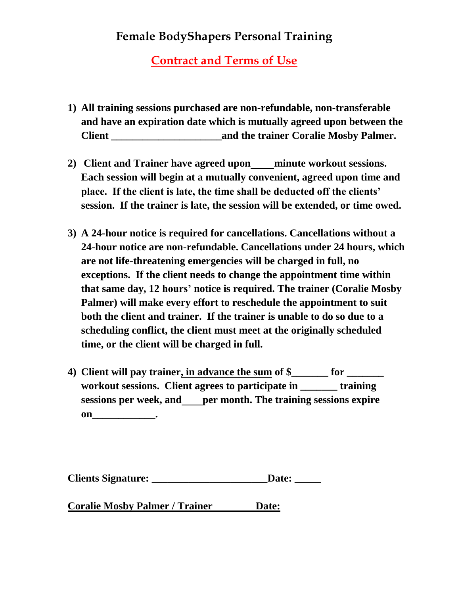## **Contract and Terms of Use**

- **1) All training sessions purchased are non-refundable, non-transferable and have an expiration date which is mutually agreed upon between the**  Client **Coralie Mosby Palmer.**
- **2) Client and Trainer have agreed upon minute workout sessions. Each session will begin at a mutually convenient, agreed upon time and place. If the client is late, the time shall be deducted off the clients' session. If the trainer is late, the session will be extended, or time owed.**
- **3) A 24-hour notice is required for cancellations. Cancellations without a 24-hour notice are non-refundable. Cancellations under 24 hours, which are not life-threatening emergencies will be charged in full, no exceptions. If the client needs to change the appointment time within that same day, 12 hours' notice is required. The trainer (Coralie Mosby Palmer) will make every effort to reschedule the appointment to suit both the client and trainer. If the trainer is unable to do so due to a scheduling conflict, the client must meet at the originally scheduled time, or the client will be charged in full.**
- **4) Client will pay trainer, in advance the sum of \$\_\_\_\_\_\_\_ for \_\_\_\_\_\_\_ workout sessions. Client agrees to participate in \_\_\_\_\_\_\_ training sessions per week, and per month. The training sessions expire on\_\_\_\_\_\_\_\_\_\_\_\_\_\_\_\_\_.**

**Coralie Mosby Palmer / Trainer Date:**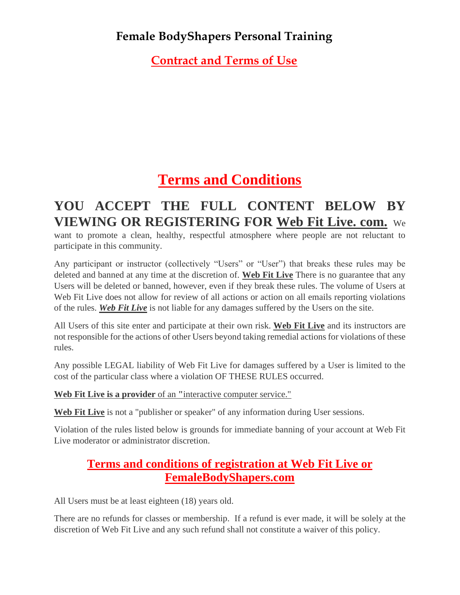**Contract and Terms of Use**

# **[Terms and Conditions](http://beattheexcuse.com/terms-and-conditions)**

## **YOU ACCEPT THE FULL CONTENT BELOW BY VIEWING OR REGISTERING FOR Web Fit Live. com.** We

want to promote a clean, healthy, respectful atmosphere where people are not reluctant to participate in this community.

Any participant or instructor (collectively "Users" or "User") that breaks these rules may be deleted and banned at any time at the discretion of. **Web Fit Live** There is no guarantee that any Users will be deleted or banned, however, even if they break these rules. The volume of Users at Web Fit Live does not allow for review of all actions or action on all emails reporting violations of the rules. *Web Fit Live* is not liable for any damages suffered by the Users on the site.

All Users of this site enter and participate at their own risk. **Web Fit Live** and its instructors are not responsible for the actions of other Users beyond taking remedial actions for violations of these rules.

Any possible LEGAL liability of Web Fit Live for damages suffered by a User is limited to the cost of the particular class where a violation OF THESE RULES occurred.

**Web Fit Live is a provider** of an **"**interactive computer service."

**Web Fit Live** is not a "publisher or speaker" of any information during User sessions.

Violation of the rules listed below is grounds for immediate banning of your account at Web Fit Live moderator or administrator discretion.

#### **Terms and conditions of registration at Web Fit Live or FemaleBodyShapers.com**

All Users must be at least eighteen (18) years old.

There are no refunds for classes or membership. If a refund is ever made, it will be solely at the discretion of Web Fit Live and any such refund shall not constitute a waiver of this policy.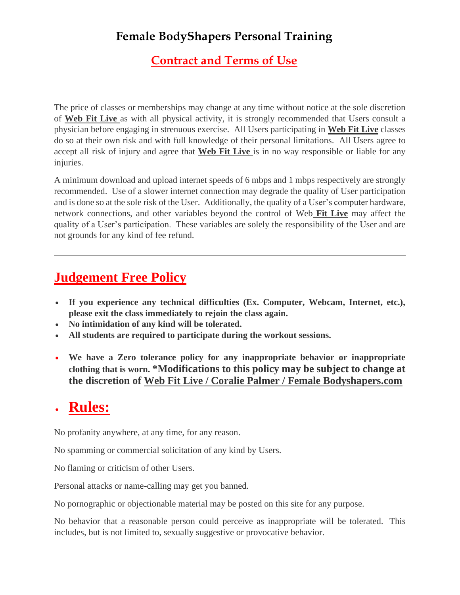## **Contract and Terms of Use**

The price of classes or memberships may change at any time without notice at the sole discretion of **Web Fit Live** as with all physical activity, it is strongly recommended that Users consult a physician before engaging in strenuous exercise. All Users participating in **Web Fit Live** classes do so at their own risk and with full knowledge of their personal limitations. All Users agree to accept all risk of injury and agree that **Web Fit Live** is in no way responsible or liable for any injuries.

A minimum download and upload internet speeds of 6 mbps and 1 mbps respectively are strongly recommended. Use of a slower internet connection may degrade the quality of User participation and is done so at the sole risk of the User. Additionally, the quality of a User's computer hardware, network connections, and other variables beyond the control of Web **Fit Live** may affect the quality of a User's participation. These variables are solely the responsibility of the User and are not grounds for any kind of fee refund.

## **Judgement Free Policy**

- **If you experience any technical difficulties (Ex. Computer, Webcam, Internet, etc.), please exit the class immediately to rejoin the class again.**
- **No intimidation of any kind will be tolerated.**
- **All students are required to participate during the workout sessions.**
- **We have a Zero tolerance policy for any inappropriate behavior or inappropriate clothing that is worn. \*Modifications to this policy may be subject to change at the discretion of Web Fit Live / Coralie Palmer / Female Bodyshapers.com**

## • **Rules:**

No profanity anywhere, at any time, for any reason.

No spamming or commercial solicitation of any kind by Users.

No flaming or criticism of other Users.

Personal attacks or name-calling may get you banned.

No pornographic or objectionable material may be posted on this site for any purpose.

No behavior that a reasonable person could perceive as inappropriate will be tolerated. This includes, but is not limited to, sexually suggestive or provocative behavior.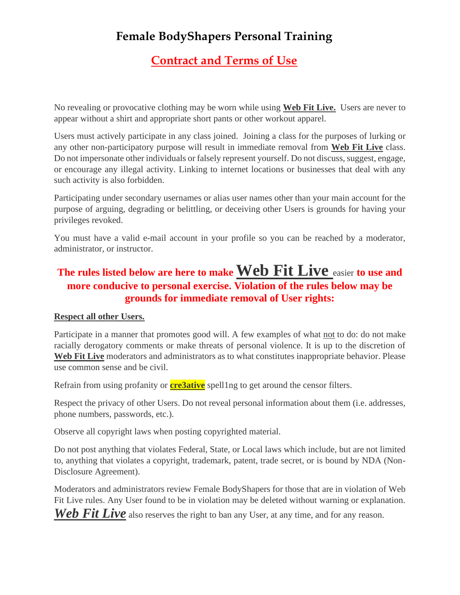## **Contract and Terms of Use**

No revealing or provocative clothing may be worn while using **Web Fit Live.** Users are never to appear without a shirt and appropriate short pants or other workout apparel.

Users must actively participate in any class joined. Joining a class for the purposes of lurking or any other non-participatory purpose will result in immediate removal from **Web Fit Live** class. Do not impersonate other individuals or falsely represent yourself. Do not discuss, suggest, engage, or encourage any illegal activity. Linking to internet locations or businesses that deal with any such activity is also forbidden.

Participating under secondary usernames or alias user names other than your main account for the purpose of arguing, degrading or belittling, or deceiving other Users is grounds for having your privileges revoked.

You must have a valid e-mail account in your profile so you can be reached by a moderator, administrator, or instructor.

## **The rules listed below are here to make Web Fit Live** easier **to use and more conducive to personal exercise. Violation of the rules below may be grounds for immediate removal of User rights:**

#### **Respect all other Users.**

Participate in a manner that promotes good will. A few examples of what not to do: do not make racially derogatory comments or make threats of personal violence. It is up to the discretion of Web Fit Live moderators and administrators as to what constitutes inappropriate behavior. Please use common sense and be civil.

Refrain from using profanity or **cre3ative** spell1ng to get around the censor filters.

Respect the privacy of other Users. Do not reveal personal information about them (i.e. addresses, phone numbers, passwords, etc.).

Observe all copyright laws when posting copyrighted material.

Do not post anything that violates Federal, State, or Local laws which include, but are not limited to, anything that violates a copyright, trademark, patent, trade secret, or is bound by NDA (Non-Disclosure Agreement).

Moderators and administrators review Female BodyShapers for those that are in violation of Web Fit Live rules. Any User found to be in violation may be deleted without warning or explanation.

Web Fit Live also reserves the right to ban any User, at any time, and for any reason.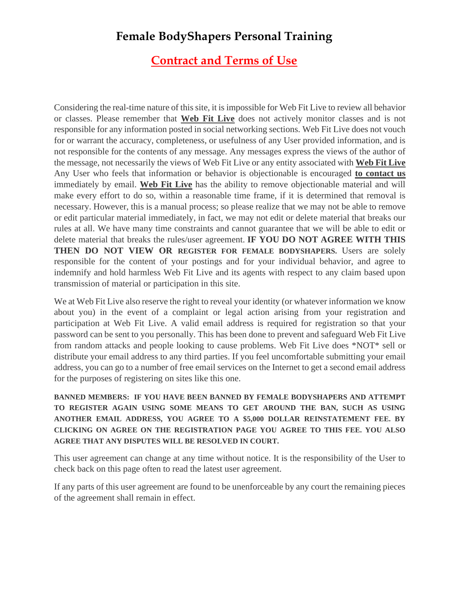#### **Contract and Terms of Use**

Considering the real-time nature of this site, it is impossible for Web Fit Live to review all behavior or classes. Please remember that **Web Fit Live** does not actively monitor classes and is not responsible for any information posted in social networking sections. Web Fit Live does not vouch for or warrant the accuracy, completeness, or usefulness of any User provided information, and is not responsible for the contents of any message. Any messages express the views of the author of the message, not necessarily the views of Web Fit Live or any entity associated with **Web Fit Live** Any User who feels that information or behavior is objectionable is encouraged **to contact us** immediately by email. **Web Fit Live** has the ability to remove objectionable material and will make every effort to do so, within a reasonable time frame, if it is determined that removal is necessary. However, this is a manual process; so please realize that we may not be able to remove or edit particular material immediately, in fact, we may not edit or delete material that breaks our rules at all. We have many time constraints and cannot guarantee that we will be able to edit or delete material that breaks the rules/user agreement. **IF YOU DO NOT AGREE WITH THIS THEN DO NOT VIEW OR REGISTER FOR FEMALE BODYSHAPERS.** Users are solely responsible for the content of your postings and for your individual behavior, and agree to indemnify and hold harmless Web Fit Live and its agents with respect to any claim based upon transmission of material or participation in this site.

We at Web Fit Live also reserve the right to reveal your identity (or whatever information we know about you) in the event of a complaint or legal action arising from your registration and participation at Web Fit Live. A valid email address is required for registration so that your password can be sent to you personally. This has been done to prevent and safeguard Web Fit Live from random attacks and people looking to cause problems. Web Fit Live does \*NOT\* sell or distribute your email address to any third parties. If you feel uncomfortable submitting your email address, you can go to a number of free email services on the Internet to get a second email address for the purposes of registering on sites like this one.

**BANNED MEMBERS: IF YOU HAVE BEEN BANNED BY FEMALE BODYSHAPERS AND ATTEMPT TO REGISTER AGAIN USING SOME MEANS TO GET AROUND THE BAN, SUCH AS USING ANOTHER EMAIL ADDRESS, YOU AGREE TO A \$5,000 DOLLAR REINSTATEMENT FEE. BY CLICKING ON AGREE ON THE REGISTRATION PAGE YOU AGREE TO THIS FEE. YOU ALSO AGREE THAT ANY DISPUTES WILL BE RESOLVED IN COURT.**

This user agreement can change at any time without notice. It is the responsibility of the User to check back on this page often to read the latest user agreement.

If any parts of this user agreement are found to be unenforceable by any court the remaining pieces of the agreement shall remain in effect.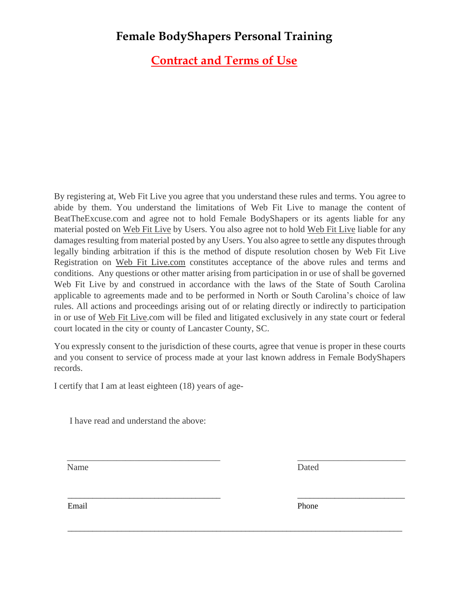**Contract and Terms of Use**

By registering at, Web Fit Live you agree that you understand these rules and terms. You agree to abide by them. You understand the limitations of Web Fit Live to manage the content of BeatTheExcuse.com and agree not to hold Female BodyShapers or its agents liable for any material posted on Web Fit Live by Users. You also agree not to hold Web Fit Live liable for any damages resulting from material posted by any Users. You also agree to settle any disputes through legally binding arbitration if this is the method of dispute resolution chosen by Web Fit Live Registration on Web Fit Live.com constitutes acceptance of the above rules and terms and conditions. Any questions or other matter arising from participation in or use of shall be governed Web Fit Live by and construed in accordance with the laws of the State of South Carolina applicable to agreements made and to be performed in North or South Carolina's choice of law rules. All actions and proceedings arising out of or relating directly or indirectly to participation in or use of Web Fit Live.com will be filed and litigated exclusively in any state court or federal court located in the city or county of Lancaster County, SC.

You expressly consent to the jurisdiction of these courts, agree that venue is proper in these courts and you consent to service of process made at your last known address in Female BodyShapers records.

\_\_\_\_\_\_\_\_\_\_\_\_\_\_\_\_\_\_\_\_\_\_\_\_\_\_\_\_\_\_\_\_\_\_ \_\_\_\_\_\_\_\_\_\_\_\_\_\_\_\_\_\_\_\_\_\_\_\_

\_\_\_\_\_\_\_\_\_\_\_\_\_\_\_\_\_\_\_\_\_\_\_\_\_\_\_\_\_\_\_\_\_\_\_\_\_ \_\_\_\_\_\_\_\_\_\_\_\_\_\_\_\_\_\_\_\_\_\_\_\_\_\_

\_\_\_\_\_\_\_\_\_\_\_\_\_\_\_\_\_\_\_\_\_\_\_\_\_\_\_\_\_\_\_\_\_\_\_\_\_\_\_\_\_\_\_\_\_\_\_\_\_\_\_\_\_\_\_\_\_\_\_\_\_\_\_\_\_\_\_\_\_\_\_\_\_\_\_\_\_\_\_\_\_

I certify that I am at least eighteen (18) years of age-

I have read and understand the above:

Name Dated

Email Phone